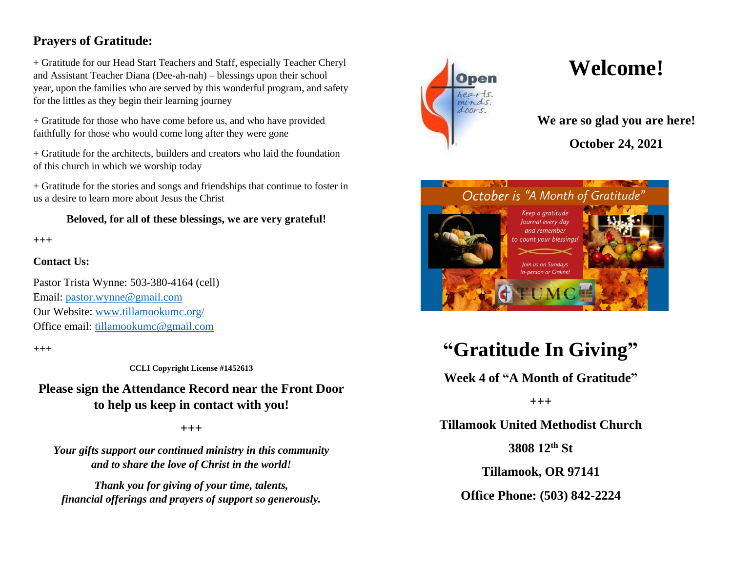### **Prayers of Gratitude:**

+ Gratitude for our Head Start Teachers and Staff, especially Teacher Cheryl and Assistant Teacher Diana (Dee-ah-nah) – blessings upon their school year, upon the families who are served by this wonderful program, and safety for the littles as they begin their learning journey

+ Gratitude for those who have come before us, and who have provided faithfully for those who would come long after they were gone

+ Gratitude for the architects, builders and creators who laid the foundation of this church in which we worship today

+ Gratitude for the stories and songs and friendships that continue to foster in us a desire to learn more about Jesus the Christ

#### **Beloved, for all of these blessings, we are very grateful!**

**+++**

#### **Contact Us:**

Pastor Trista Wynne: 503-380-4164 (cell) Email: [pastor.wynne@gmail.com](mailto:pastor.wynne@gmail.com) Our Website: [www.tillamookumc.org/](http://www.tillamookumc.org/) Office email: [tillamookumc@gmail.com](mailto:tillamookumc@gmail.com)

 $^{+++}$ 

**CCLI Copyright License #1452613**

**Please sign the Attendance Record near the Front Door to help us keep in contact with you!**

**+++**

*Your gifts support our continued ministry in this community and to share the love of Christ in the world!*

*Thank you for giving of your time, talents, financial offerings and prayers of support so generously.*



# **Welcome!**

**We are so glad you are here!**

**October 24, 2021**



## **"Gratitude In Giving"**

**Week 4 of "A Month of Gratitude"**

**+++**

**Tillamook United Methodist Church**

**3808 12th St**

**Tillamook, OR 97141**

**Office Phone: (503) 842-2224**